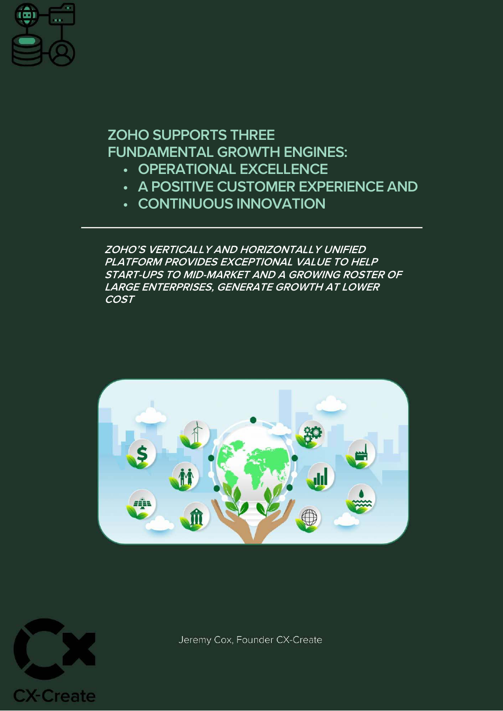

# **ZOHO SUPPORTS THREE FUNDAMENTAL GROWTH ENGINES:**

- **• OPERATIONAL EXCELLENCE**
- **• A POSITIVE CUSTOMER EXPERIENCE AND**
- **• CONTINUOUS INNOVATION**

**ZOHO'S VERTICALLY AND HORIZONTALLY UNIFIED PLATFORM PROVIDES EXCEPTIONAL VALUE TO HELP START-UPS TO MID-MARKET AND A GROWING ROSTER OF LARGE ENTERPRISES, GENERATE GROWTH AT LOWER COST**





Jeremy Cox, Founder CX-Create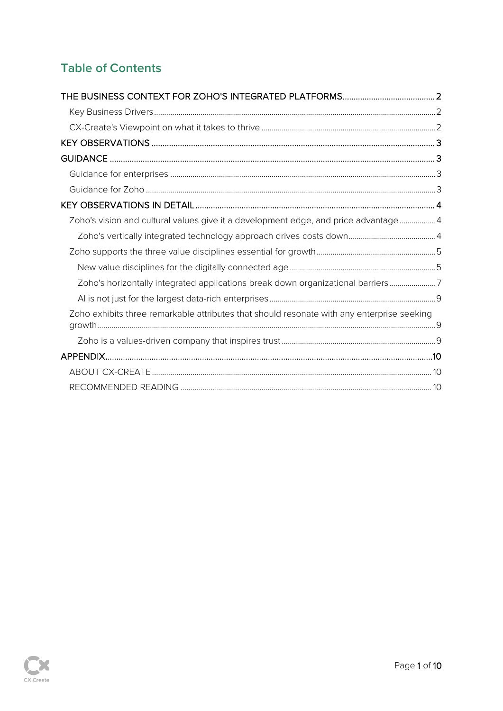# **Table of Contents**

| Zoho's vision and cultural values give it a development edge, and price advantage4         |  |
|--------------------------------------------------------------------------------------------|--|
|                                                                                            |  |
|                                                                                            |  |
|                                                                                            |  |
| Zoho's horizontally integrated applications break down organizational barriers7            |  |
|                                                                                            |  |
| Zoho exhibits three remarkable attributes that should resonate with any enterprise seeking |  |
|                                                                                            |  |
|                                                                                            |  |
|                                                                                            |  |
|                                                                                            |  |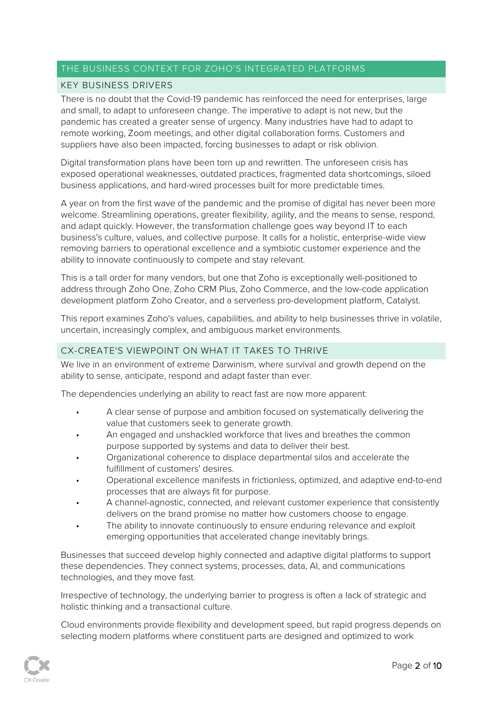#### <span id="page-2-0"></span>THE BUSINESS CONTEXT FOR ZOHO'S INTEGRATED PLATFORMS

#### <span id="page-2-1"></span>KEY BUSINESS DRIVERS

There is no doubt that the Covid-19 pandemic has reinforced the need for enterprises, large and small, to adapt to unforeseen change. The imperative to adapt is not new, but the pandemic has created a greater sense of urgency. Many industries have had to adapt to remote working, Zoom meetings, and other digital collaboration forms. Customers and suppliers have also been impacted, forcing businesses to adapt or risk oblivion.

Digital transformation plans have been torn up and rewritten. The unforeseen crisis has exposed operational weaknesses, outdated practices, fragmented data shortcomings, siloed business applications, and hard-wired processes built for more predictable times.

A year on from the first wave of the pandemic and the promise of digital has never been more welcome. Streamlining operations, greater flexibility, agility, and the means to sense, respond, and adapt quickly. However, the transformation challenge goes way beyond IT to each business's culture, values, and collective purpose. It calls for a holistic, enterprise-wide view removing barriers to operational excellence and a symbiotic customer experience and the ability to innovate continuously to compete and stay relevant.

This is a tall order for many vendors, but one that Zoho is exceptionally well-positioned to address through Zoho One, Zoho CRM Plus, Zoho Commerce, and the low-code application development platform Zoho Creator, and a serverless pro-development platform, Catalyst.

This report examines Zoho's values, capabilities, and ability to help businesses thrive in volatile, uncertain, increasingly complex, and ambiguous market environments.

#### <span id="page-2-2"></span>CX-CREATE'S VIEWPOINT ON WHAT IT TAKES TO THRIVE

We live in an environment of extreme Darwinism, where survival and growth depend on the ability to sense, anticipate, respond and adapt faster than ever.

The dependencies underlying an ability to react fast are now more apparent:

- A clear sense of purpose and ambition focused on systematically delivering the value that customers seek to generate growth.
- An engaged and unshackled workforce that lives and breathes the common purpose supported by systems and data to deliver their best.
- Organizational coherence to displace departmental silos and accelerate the fulfillment of customers' desires.
- Operational excellence manifests in frictionless, optimized, and adaptive end-to-end processes that are always fit for purpose.
- A channel-agnostic, connected, and relevant customer experience that consistently delivers on the brand promise no matter how customers choose to engage.
- The ability to innovate continuously to ensure enduring relevance and exploit emerging opportunities that accelerated change inevitably brings.

Businesses that succeed develop highly connected and adaptive digital platforms to support these dependencies. They connect systems, processes, data, AI, and communications technologies, and they move fast.

Irrespective of technology, the underlying barrier to progress is often a lack of strategic and holistic thinking and a transactional culture.

Cloud environments provide flexibility and development speed, but rapid progress depends on selecting modern platforms where constituent parts are designed and optimized to work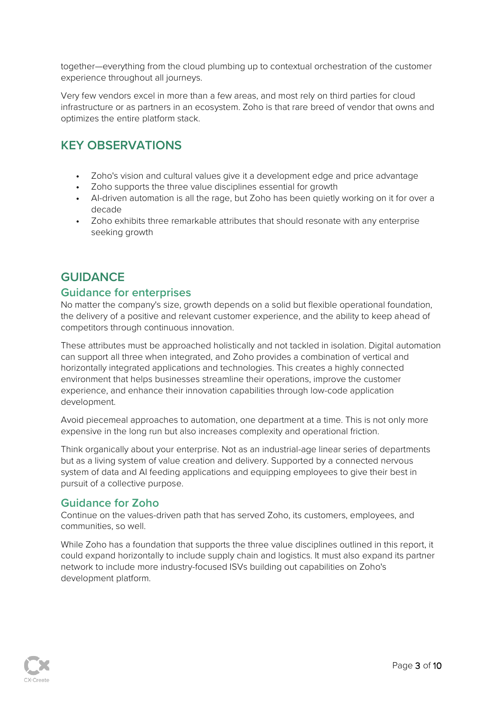together—everything from the cloud plumbing up to contextual orchestration of the customer experience throughout all journeys.

Very few vendors excel in more than a few areas, and most rely on third parties for cloud infrastructure or as partners in an ecosystem. Zoho is that rare breed of vendor that owns and optimizes the entire platform stack.

## <span id="page-3-0"></span>**KEY OBSERVATIONS**

- **•** Zoho's vision and cultural values give it a development edge and price advantage
- **•** Zoho supports the three value disciplines essential for growth
- **•** AI-driven automation is all the rage, but Zoho has been quietly working on it for over a decade
- **•** Zoho exhibits three remarkable attributes that should resonate with any enterprise seeking growth

## <span id="page-3-1"></span>**GUIDANCE**

#### <span id="page-3-2"></span>**Guidance for enterprises**

No matter the company's size, growth depends on a solid but flexible operational foundation, the delivery of a positive and relevant customer experience, and the ability to keep ahead of competitors through continuous innovation.

These attributes must be approached holistically and not tackled in isolation. Digital automation can support all three when integrated, and Zoho provides a combination of vertical and horizontally integrated applications and technologies. This creates a highly connected environment that helps businesses streamline their operations, improve the customer experience, and enhance their innovation capabilities through low-code application development.

Avoid piecemeal approaches to automation, one department at a time. This is not only more expensive in the long run but also increases complexity and operational friction.

Think organically about your enterprise. Not as an industrial-age linear series of departments but as a living system of value creation and delivery. Supported by a connected nervous system of data and AI feeding applications and equipping employees to give their best in pursuit of a collective purpose.

### <span id="page-3-3"></span>**Guidance for Zoho**

Continue on the values-driven path that has served Zoho, its customers, employees, and communities, so well.

While Zoho has a foundation that supports the three value disciplines outlined in this report, it could expand horizontally to include supply chain and logistics. It must also expand its partner network to include more industry-focused ISVs building out capabilities on Zoho's development platform.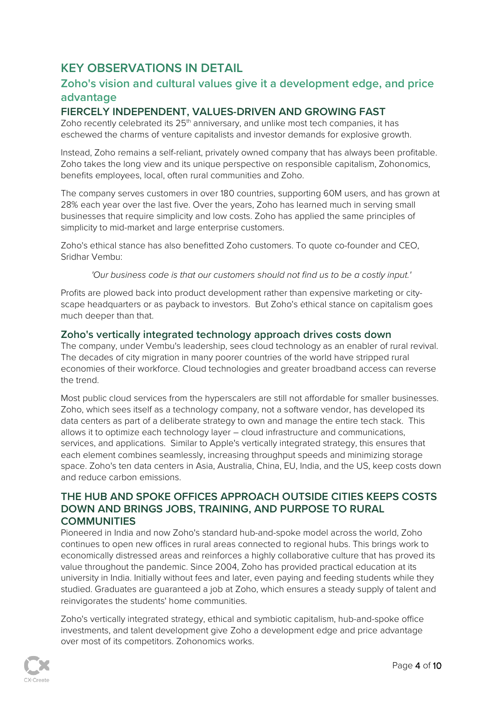## <span id="page-4-0"></span>**KEY OBSERVATIONS IN DETAIL**

## <span id="page-4-1"></span>**Zoho's vision and cultural values give it a development edge, and price advantage**

### **FIERCELY INDEPENDENT, VALUES-DRIVEN AND GROWING FAST**

Zoho recently celebrated its  $25<sup>th</sup>$  anniversary, and unlike most tech companies, it has eschewed the charms of venture capitalists and investor demands for explosive growth.

Instead, Zoho remains a self-reliant, privately owned company that has always been profitable. Zoho takes the long view and its unique perspective on responsible capitalism, Zohonomics, benefits employees, local, often rural communities and Zoho.

The company serves customers in over 180 countries, supporting 60M users, and has grown at 28% each year over the last five. Over the years, Zoho has learned much in serving small businesses that require simplicity and low costs. Zoho has applied the same principles of simplicity to mid-market and large enterprise customers.

Zoho's ethical stance has also benefitted Zoho customers. To quote co-founder and CEO, Sridhar Vembu:

*'Our business code is that our customers should not find us to be a costly input.'*

Profits are plowed back into product development rather than expensive marketing or cityscape headquarters or as payback to investors. But Zoho's ethical stance on capitalism goes much deeper than that.

#### <span id="page-4-2"></span>**Zoho's vertically integrated technology approach drives costs down**

The company, under Vembu's leadership, sees cloud technology as an enabler of rural revival. The decades of city migration in many poorer countries of the world have stripped rural economies of their workforce. Cloud technologies and greater broadband access can reverse the trend.

Most public cloud services from the hyperscalers are still not affordable for smaller businesses. Zoho, which sees itself as a technology company, not a software vendor, has developed its data centers as part of a deliberate strategy to own and manage the entire tech stack. This allows it to optimize each technology layer – cloud infrastructure and communications, services, and applications. Similar to Apple's vertically integrated strategy, this ensures that each element combines seamlessly, increasing throughput speeds and minimizing storage space. Zoho's ten data centers in Asia, Australia, China, EU, India, and the US, keep costs down and reduce carbon emissions.

### **THE HUB AND SPOKE OFFICES APPROACH OUTSIDE CITIES KEEPS COSTS DOWN AND BRINGS JOBS, TRAINING, AND PURPOSE TO RURAL COMMUNITIES**

Pioneered in India and now Zoho's standard hub-and-spoke model across the world, Zoho continues to open new offices in rural areas connected to regional hubs. This brings work to economically distressed areas and reinforces a highly collaborative culture that has proved its value throughout the pandemic. Since 2004, Zoho has provided practical education at its university in India. Initially without fees and later, even paying and feeding students while they studied. Graduates are guaranteed a job at Zoho, which ensures a steady supply of talent and reinvigorates the students' home communities.

Zoho's vertically integrated strategy, ethical and symbiotic capitalism, hub-and-spoke office investments, and talent development give Zoho a development edge and price advantage over most of its competitors. Zohonomics works.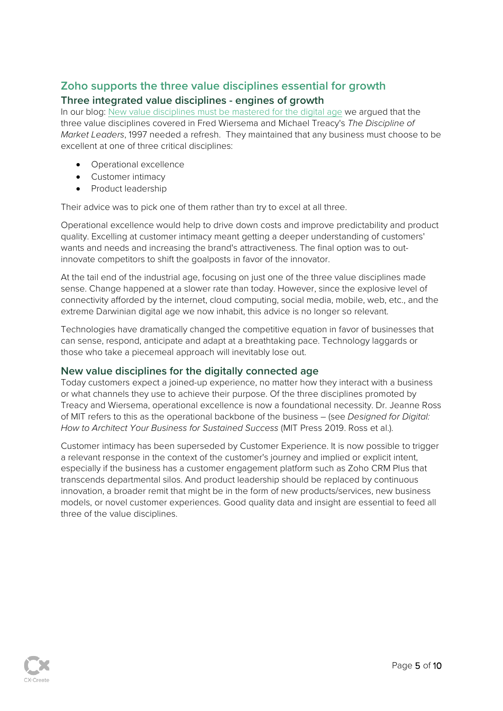## <span id="page-5-0"></span>**Zoho supports the three value disciplines essential for growth Three integrated value disciplines - engines of growth**

In our blog: [New value disciplines must be mastered for the digital age](https://cxcreate.io/2021/02/04/new-value-disciplines-must-be-mastered-for-the-digital-age/) we argued that the three value disciplines covered in Fred Wiersema and Michael Treacy's *The Discipline of Market Leaders*, 1997 needed a refresh. They maintained that any business must choose to be excellent at one of three critical disciplines:

- Operational excellence
- Customer intimacy
- Product leadership

Their advice was to pick one of them rather than try to excel at all three.

Operational excellence would help to drive down costs and improve predictability and product quality. Excelling at customer intimacy meant getting a deeper understanding of customers' wants and needs and increasing the brand's attractiveness. The final option was to outinnovate competitors to shift the goalposts in favor of the innovator.

At the tail end of the industrial age, focusing on just one of the three value disciplines made sense. Change happened at a slower rate than today. However, since the explosive level of connectivity afforded by the internet, cloud computing, social media, mobile, web, etc., and the extreme Darwinian digital age we now inhabit, this advice is no longer so relevant.

Technologies have dramatically changed the competitive equation in favor of businesses that can sense, respond, anticipate and adapt at a breathtaking pace. Technology laggards or those who take a piecemeal approach will inevitably lose out.

#### <span id="page-5-1"></span>**New value disciplines for the digitally connected age**

Today customers expect a joined-up experience, no matter how they interact with a business or what channels they use to achieve their purpose. Of the three disciplines promoted by Treacy and Wiersema, operational excellence is now a foundational necessity. Dr. Jeanne Ross of MIT refers to this as the operational backbone of the business – (see *Designed for Digital: How to Architect Your Business for Sustained Success* (MIT Press 2019. Ross et al.).

Customer intimacy has been superseded by Customer Experience. It is now possible to trigger a relevant response in the context of the customer's journey and implied or explicit intent, especially if the business has a customer engagement platform such as Zoho CRM Plus that transcends departmental silos. And product leadership should be replaced by continuous innovation, a broader remit that might be in the form of new products/services, new business models, or novel customer experiences. Good quality data and insight are essential to feed all three of the value disciplines.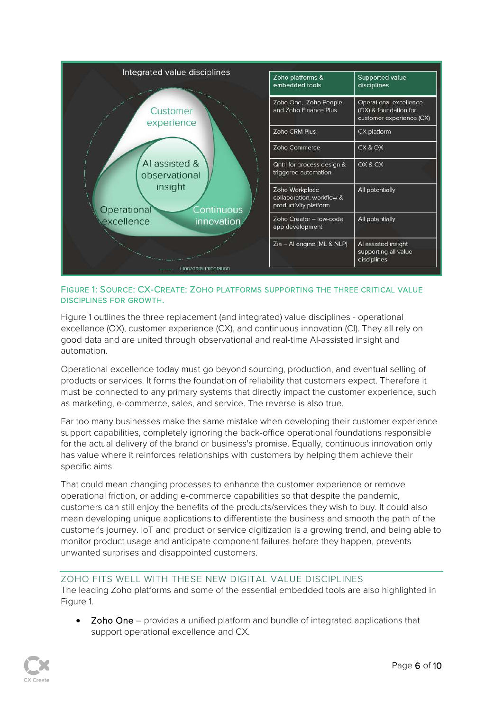

#### FIGURE 1: SOURCE: CX-CREATE: ZOHO PLATFORMS SUPPORTING THE THREE CRITICAL VALUE DISCIPLINES FOR GROWTH.

Figure 1 outlines the three replacement (and integrated) value disciplines - operational excellence (OX), customer experience (CX), and continuous innovation (CI). They all rely on good data and are united through observational and real-time AI-assisted insight and automation.

Operational excellence today must go beyond sourcing, production, and eventual selling of products or services. It forms the foundation of reliability that customers expect. Therefore it must be connected to any primary systems that directly impact the customer experience, such as marketing, e-commerce, sales, and service. The reverse is also true.

Far too many businesses make the same mistake when developing their customer experience support capabilities, completely ignoring the back-office operational foundations responsible for the actual delivery of the brand or business's promise. Equally, continuous innovation only has value where it reinforces relationships with customers by helping them achieve their specific aims.

That could mean changing processes to enhance the customer experience or remove operational friction, or adding e-commerce capabilities so that despite the pandemic, customers can still enjoy the benefits of the products/services they wish to buy. It could also mean developing unique applications to differentiate the business and smooth the path of the customer's journey. IoT and product or service digitization is a growing trend, and being able to monitor product usage and anticipate component failures before they happen, prevents unwanted surprises and disappointed customers.

#### ZOHO FITS WELL WITH THESE NEW DIGITAL VALUE DISCIPLINES The leading Zoho platforms and some of the essential embedded tools are also highlighted in Figure 1.

• Zoho One – provides a unified platform and bundle of integrated applications that support operational excellence and CX.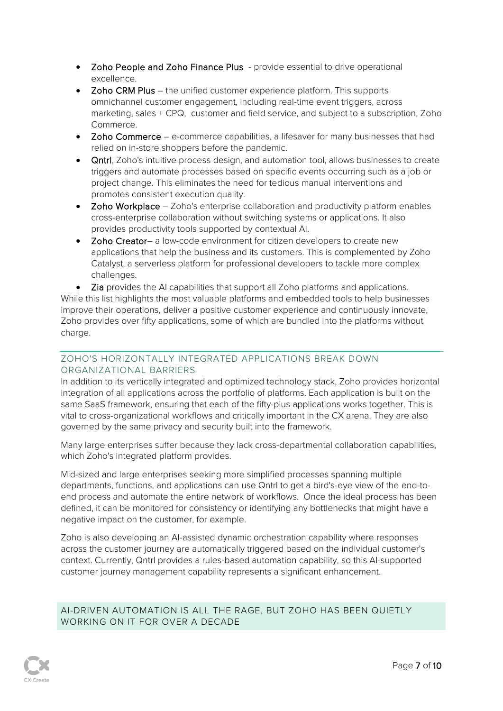- Zoho People and Zoho Finance Plus provide essential to drive operational excellence.
- Zoho CRM Plus the unified customer experience platform. This supports omnichannel customer engagement, including real-time event triggers, across marketing, sales + CPQ, customer and field service, and subject to a subscription, Zoho Commerce.
- Zoho Commerce e-commerce capabilities, a lifesaver for many businesses that had relied on in-store shoppers before the pandemic.
- Qntrl, Zoho's intuitive process design, and automation tool, allows businesses to create triggers and automate processes based on specific events occurring such as a job or project change. This eliminates the need for tedious manual interventions and promotes consistent execution quality.
- Zoho Workplace Zoho's enterprise collaboration and productivity platform enables cross-enterprise collaboration without switching systems or applications. It also provides productivity tools supported by contextual AI.
- Zoho Creator– a low-code environment for citizen developers to create new applications that help the business and its customers. This is complemented by Zoho Catalyst, a serverless platform for professional developers to tackle more complex challenges.

• Zia provides the AI capabilities that support all Zoho platforms and applications. While this list highlights the most valuable platforms and embedded tools to help businesses improve their operations, deliver a positive customer experience and continuously innovate, Zoho provides over fifty applications, some of which are bundled into the platforms without charge.

#### <span id="page-7-0"></span>ZOHO'S HORIZONTALLY INTEGRATED APPLICATIONS BREAK DOWN ORGANIZATIONAL BARRIERS

In addition to its vertically integrated and optimized technology stack, Zoho provides horizontal integration of all applications across the portfolio of platforms. Each application is built on the same SaaS framework, ensuring that each of the fifty-plus applications works together. This is vital to cross-organizational workflows and critically important in the CX arena. They are also governed by the same privacy and security built into the framework.

Many large enterprises suffer because they lack cross-departmental collaboration capabilities, which Zoho's integrated platform provides.

Mid-sized and large enterprises seeking more simplified processes spanning multiple departments, functions, and applications can use Qntrl to get a bird's-eye view of the end-toend process and automate the entire network of workflows. Once the ideal process has been defined, it can be monitored for consistency or identifying any bottlenecks that might have a negative impact on the customer, for example.

Zoho is also developing an AI-assisted dynamic orchestration capability where responses across the customer journey are automatically triggered based on the individual customer's context. Currently, Qntrl provides a rules-based automation capability, so this AI-supported customer journey management capability represents a significant enhancement.

AI-DRIVEN AUTOMATION IS ALL THE RAGE, BUT ZOHO HAS BEEN QUIETLY WORKING ON IT FOR OVER A DECADE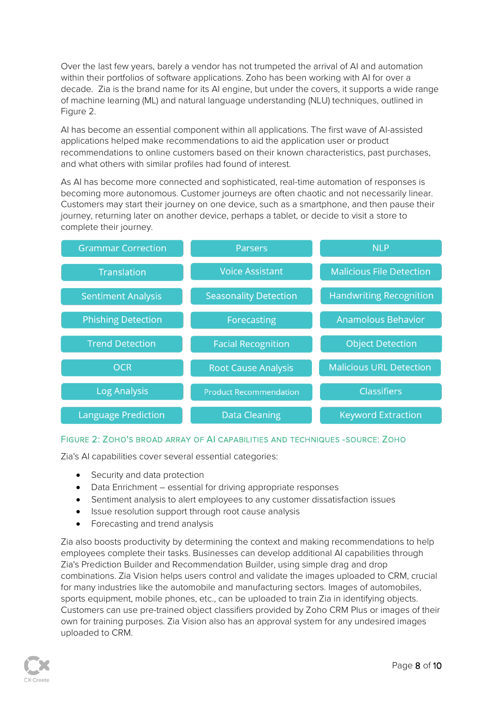Over the last few years, barely a vendor has not trumpeted the arrival of AI and automation within their portfolios of software applications. Zoho has been working with AI for over a decade. Zia is the brand name for its AI engine, but under the covers, it supports a wide range of machine learning (ML) and natural language understanding (NLU) techniques, outlined in Figure 2.

AI has become an essential component within all applications. The first wave of AI-assisted applications helped make recommendations to aid the application user or product recommendations to online customers based on their known characteristics, past purchases, and what others with similar profiles had found of interest.

As AI has become more connected and sophisticated, real-time automation of responses is becoming more autonomous. Customer journeys are often chaotic and not necessarily linear. Customers may start their journey on one device, such as a smartphone, and then pause their journey, returning later on another device, perhaps a tablet, or decide to visit a store to complete their journey.

| <b>Grammar Correction</b>  | Parsers                       | <b>NLP</b>                      |
|----------------------------|-------------------------------|---------------------------------|
| <b>Translation</b>         | <b>Voice Assistant</b>        | <b>Malicious File Detection</b> |
| <b>Sentiment Analysis</b>  | <b>Seasonality Detection</b>  | <b>Handwriting Recognition</b>  |
| <b>Phishing Detection</b>  | Forecasting                   | <b>Anamolous Behavior</b>       |
| <b>Trend Detection</b>     | <b>Facial Recognition</b>     | <b>Object Detection</b>         |
| <b>OCR</b>                 | <b>Root Cause Analysis</b>    | <b>Malicious URL Detection</b>  |
| <b>Log Analysis</b>        | <b>Product Recommendation</b> | <b>Classifiers</b>              |
| <b>Language Prediction</b> | <b>Data Cleaning</b>          | <b>Keyword Extraction</b>       |

#### FIGURE 2: ZOHO'S BROAD ARRAY OF AI CAPABILITIES AND TECHNIQUES -SOURCE: ZOHO

Zia's AI capabilities cover several essential categories:

- Security and data protection
- Data Enrichment essential for driving appropriate responses
- Sentiment analysis to alert employees to any customer dissatisfaction issues
- Issue resolution support through root cause analysis
- Forecasting and trend analysis

Zia also boosts productivity by determining the context and making recommendations to help employees complete their tasks. Businesses can develop additional AI capabilities through Zia's Prediction Builder and Recommendation Builder, using simple drag and drop combinations. Zia Vision helps users control and validate the images uploaded to CRM, crucial for many industries like the automobile and manufacturing sectors. Images of automobiles, sports equipment, mobile phones, etc., can be uploaded to train Zia in identifying objects. Customers can use pre-trained object classifiers provided by Zoho CRM Plus or images of their own for training purposes. Zia Vision also has an approval system for any undesired images uploaded to CRM.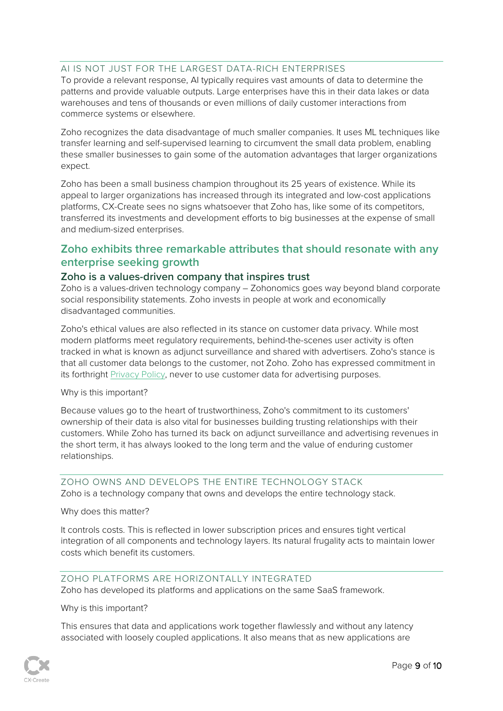#### <span id="page-9-0"></span>AI IS NOT JUST FOR THE LARGEST DATA-RICH ENTERPRISES

To provide a relevant response, AI typically requires vast amounts of data to determine the patterns and provide valuable outputs. Large enterprises have this in their data lakes or data warehouses and tens of thousands or even millions of daily customer interactions from commerce systems or elsewhere.

Zoho recognizes the data disadvantage of much smaller companies. It uses ML techniques like transfer learning and self-supervised learning to circumvent the small data problem, enabling these smaller businesses to gain some of the automation advantages that larger organizations expect.

Zoho has been a small business champion throughout its 25 years of existence. While its appeal to larger organizations has increased through its integrated and low-cost applications platforms, CX-Create sees no signs whatsoever that Zoho has, like some of its competitors, transferred its investments and development efforts to big businesses at the expense of small and medium-sized enterprises.

## <span id="page-9-1"></span>**Zoho exhibits three remarkable attributes that should resonate with any enterprise seeking growth**

#### <span id="page-9-2"></span>**Zoho is a values-driven company that inspires trust**

Zoho is a values-driven technology company – Zohonomics goes way beyond bland corporate social responsibility statements. Zoho invests in people at work and economically disadvantaged communities.

Zoho's ethical values are also reflected in its stance on customer data privacy. While most modern platforms meet regulatory requirements, behind-the-scenes user activity is often tracked in what is known as adjunct surveillance and shared with advertisers. Zoho's stance is that all customer data belongs to the customer, not Zoho. Zoho has expressed commitment in its forthright [Privacy Policy,](https://www.zoho.com/privacy.html) never to use customer data for advertising purposes.

#### Why is this important?

Because values go to the heart of trustworthiness, Zoho's commitment to its customers' ownership of their data is also vital for businesses building trusting relationships with their customers. While Zoho has turned its back on adjunct surveillance and advertising revenues in the short term, it has always looked to the long term and the value of enduring customer relationships.

ZOHO OWNS AND DEVELOPS THE ENTIRE TECHNOLOGY STACK Zoho is a technology company that owns and develops the entire technology stack.

#### Why does this matter?

It controls costs. This is reflected in lower subscription prices and ensures tight vertical integration of all components and technology layers. Its natural frugality acts to maintain lower costs which benefit its customers.

#### ZOHO PLATFORMS ARE HORIZONTALLY INTEGRATED Zoho has developed its platforms and applications on the same SaaS framework.

#### Why is this important?

This ensures that data and applications work together flawlessly and without any latency associated with loosely coupled applications. It also means that as new applications are